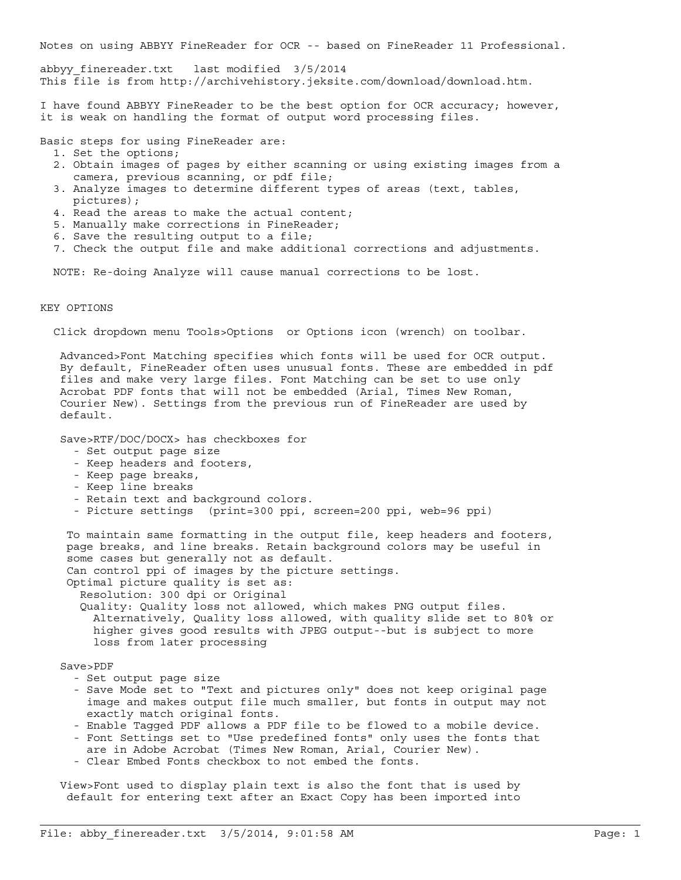Notes on using ABBYY FineReader for OCR -- based on FineReader 11 Professional. abbyy\_finereader.txt last modified 3/5/2014 This file is from http://archivehistory.jeksite.com/download/download.htm.

I have found ABBYY FineReader to be the best option for OCR accuracy; however, it is weak on handling the format of output word processing files.

Basic steps for using FineReader are:

- 1. Set the options;
- 2. Obtain images of pages by either scanning or using existing images from a camera, previous scanning, or pdf file;
- 3. Analyze images to determine different types of areas (text, tables, pictures);
- 4. Read the areas to make the actual content;
- 5. Manually make corrections in FineReader;
- 6. Save the resulting output to a file;
- 7. Check the output file and make additional corrections and adjustments.

NOTE: Re-doing Analyze will cause manual corrections to be lost.

#### KEY OPTIONS

Click dropdown menu Tools>Options or Options icon (wrench) on toolbar.

 Advanced>Font Matching specifies which fonts will be used for OCR output. By default, FineReader often uses unusual fonts. These are embedded in pdf files and make very large files. Font Matching can be set to use only Acrobat PDF fonts that will not be embedded (Arial, Times New Roman, Courier New). Settings from the previous run of FineReader are used by default.

Save>RTF/DOC/DOCX> has checkboxes for

- Set output page size
- Keep headers and footers,
- Keep page breaks,
- Keep line breaks
- Retain text and background colors.
- Picture settings (print=300 ppi, screen=200 ppi, web=96 ppi)

 To maintain same formatting in the output file, keep headers and footers, page breaks, and line breaks. Retain background colors may be useful in some cases but generally not as default.

Can control ppi of images by the picture settings.

Optimal picture quality is set as:

Resolution: 300 dpi or Original

 Quality: Quality loss not allowed, which makes PNG output files. Alternatively, Quality loss allowed, with quality slide set to 80% or higher gives good results with JPEG output--but is subject to more loss from later processing

## Save>PDF

- Set output page size
- Save Mode set to "Text and pictures only" does not keep original page image and makes output file much smaller, but fonts in output may not exactly match original fonts.
- Enable Tagged PDF allows a PDF file to be flowed to a mobile device.
- Font Settings set to "Use predefined fonts" only uses the fonts that
- are in Adobe Acrobat (Times New Roman, Arial, Courier New).
- Clear Embed Fonts checkbox to not embed the fonts.

 View>Font used to display plain text is also the font that is used by default for entering text after an Exact Copy has been imported into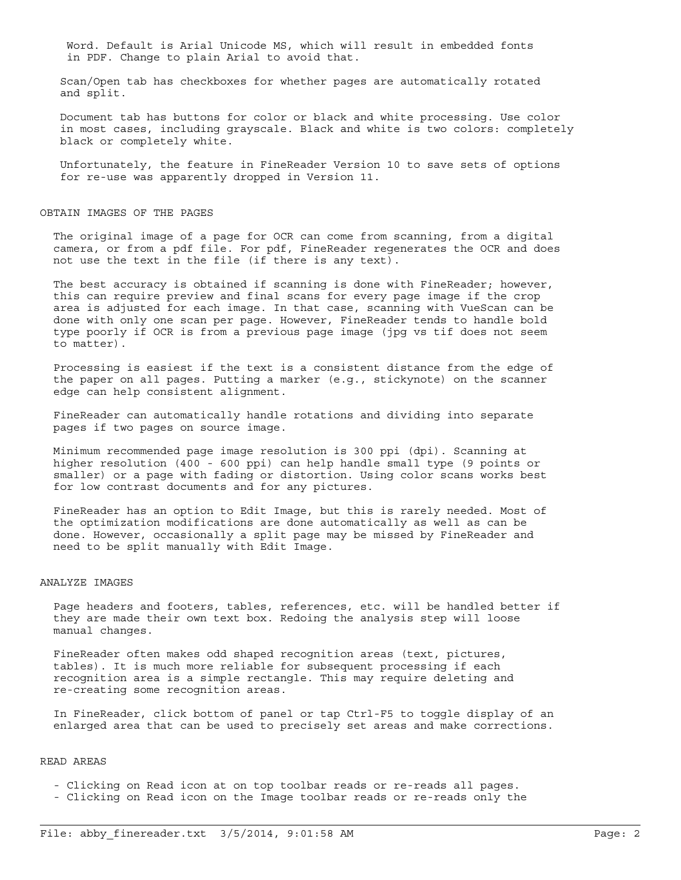Word. Default is Arial Unicode MS, which will result in embedded fonts in PDF. Change to plain Arial to avoid that.

 Scan/Open tab has checkboxes for whether pages are automatically rotated and split.

 Document tab has buttons for color or black and white processing. Use color in most cases, including grayscale. Black and white is two colors: completely black or completely white.

 Unfortunately, the feature in FineReader Version 10 to save sets of options for re-use was apparently dropped in Version 11.

#### OBTAIN IMAGES OF THE PAGES

 The original image of a page for OCR can come from scanning, from a digital camera, or from a pdf file. For pdf, FineReader regenerates the OCR and does not use the text in the file (if there is any text).

 The best accuracy is obtained if scanning is done with FineReader; however, this can require preview and final scans for every page image if the crop area is adjusted for each image. In that case, scanning with VueScan can be done with only one scan per page. However, FineReader tends to handle bold type poorly if OCR is from a previous page image (jpg vs tif does not seem to matter).

 Processing is easiest if the text is a consistent distance from the edge of the paper on all pages. Putting a marker (e.g., stickynote) on the scanner edge can help consistent alignment.

 FineReader can automatically handle rotations and dividing into separate pages if two pages on source image.

 Minimum recommended page image resolution is 300 ppi (dpi). Scanning at higher resolution (400 - 600 ppi) can help handle small type (9 points or smaller) or a page with fading or distortion. Using color scans works best for low contrast documents and for any pictures.

 FineReader has an option to Edit Image, but this is rarely needed. Most of the optimization modifications are done automatically as well as can be done. However, occasionally a split page may be missed by FineReader and need to be split manually with Edit Image.

## ANALYZE IMAGES

 Page headers and footers, tables, references, etc. will be handled better if they are made their own text box. Redoing the analysis step will loose manual changes.

 FineReader often makes odd shaped recognition areas (text, pictures, tables). It is much more reliable for subsequent processing if each recognition area is a simple rectangle. This may require deleting and re-creating some recognition areas.

 In FineReader, click bottom of panel or tap Ctrl-F5 to toggle display of an enlarged area that can be used to precisely set areas and make corrections.

## READ AREAS

- Clicking on Read icon at on top toolbar reads or re-reads all pages.

- Clicking on Read icon on the Image toolbar reads or re-reads only the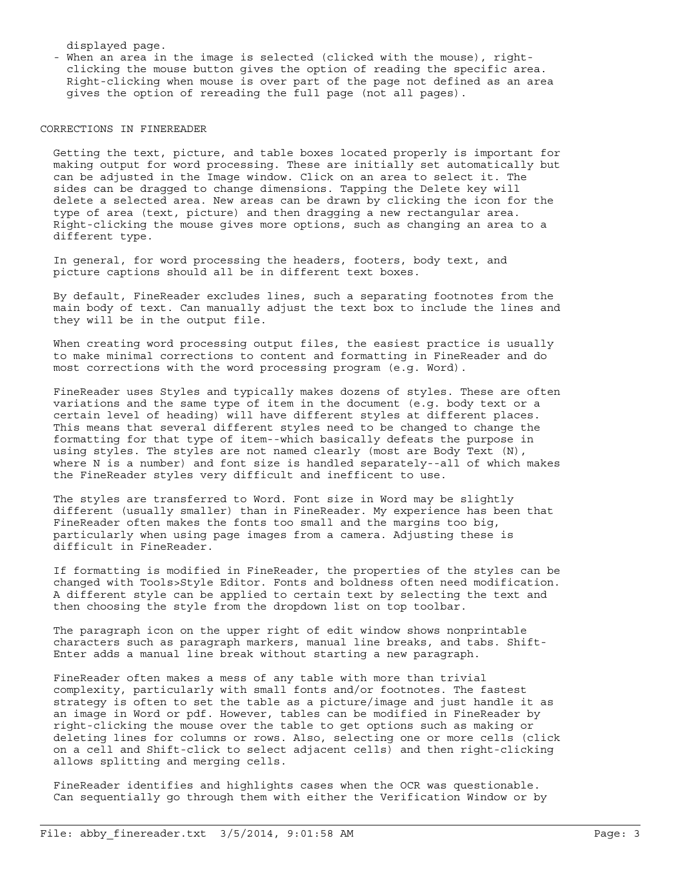displayed page.

 - When an area in the image is selected (clicked with the mouse), right clicking the mouse button gives the option of reading the specific area. Right-clicking when mouse is over part of the page not defined as an area gives the option of rereading the full page (not all pages).

#### CORRECTIONS IN FINEREADER

 Getting the text, picture, and table boxes located properly is important for making output for word processing. These are initially set automatically but can be adjusted in the Image window. Click on an area to select it. The sides can be dragged to change dimensions. Tapping the Delete key will delete a selected area. New areas can be drawn by clicking the icon for the type of area (text, picture) and then dragging a new rectangular area. Right-clicking the mouse gives more options, such as changing an area to a different type.

 In general, for word processing the headers, footers, body text, and picture captions should all be in different text boxes.

 By default, FineReader excludes lines, such a separating footnotes from the main body of text. Can manually adjust the text box to include the lines and they will be in the output file.

 When creating word processing output files, the easiest practice is usually to make minimal corrections to content and formatting in FineReader and do most corrections with the word processing program (e.g. Word).

 FineReader uses Styles and typically makes dozens of styles. These are often variations and the same type of item in the document (e.g. body text or a certain level of heading) will have different styles at different places. This means that several different styles need to be changed to change the formatting for that type of item--which basically defeats the purpose in using styles. The styles are not named clearly (most are Body Text (N), where N is a number) and font size is handled separately--all of which makes the FineReader styles very difficult and inefficent to use.

 The styles are transferred to Word. Font size in Word may be slightly different (usually smaller) than in FineReader. My experience has been that FineReader often makes the fonts too small and the margins too big, particularly when using page images from a camera. Adjusting these is difficult in FineReader.

 If formatting is modified in FineReader, the properties of the styles can be changed with Tools>Style Editor. Fonts and boldness often need modification. A different style can be applied to certain text by selecting the text and then choosing the style from the dropdown list on top toolbar.

 The paragraph icon on the upper right of edit window shows nonprintable characters such as paragraph markers, manual line breaks, and tabs. Shift- Enter adds a manual line break without starting a new paragraph.

 FineReader often makes a mess of any table with more than trivial complexity, particularly with small fonts and/or footnotes. The fastest strategy is often to set the table as a picture/image and just handle it as an image in Word or pdf. However, tables can be modified in FineReader by right-clicking the mouse over the table to get options such as making or deleting lines for columns or rows. Also, selecting one or more cells (click on a cell and Shift-click to select adjacent cells) and then right-clicking allows splitting and merging cells.

 FineReader identifies and highlights cases when the OCR was questionable. Can sequentially go through them with either the Verification Window or by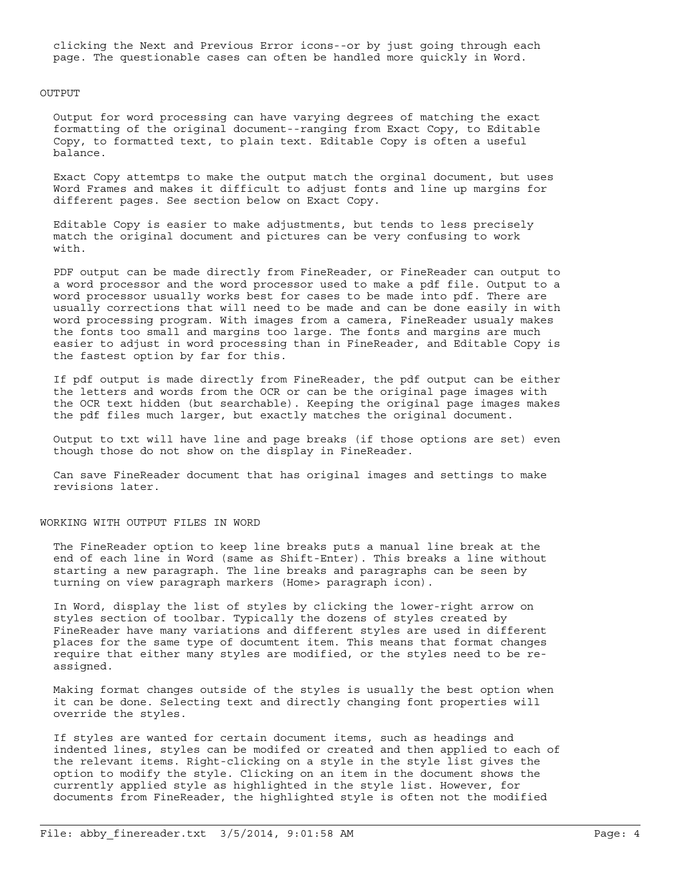clicking the Next and Previous Error icons--or by just going through each page. The questionable cases can often be handled more quickly in Word.

#### OUTPUT

 Output for word processing can have varying degrees of matching the exact formatting of the original document--ranging from Exact Copy, to Editable Copy, to formatted text, to plain text. Editable Copy is often a useful balance.

 Exact Copy attemtps to make the output match the orginal document, but uses Word Frames and makes it difficult to adjust fonts and line up margins for different pages. See section below on Exact Copy.

 Editable Copy is easier to make adjustments, but tends to less precisely match the original document and pictures can be very confusing to work with.

 PDF output can be made directly from FineReader, or FineReader can output to a word processor and the word processor used to make a pdf file. Output to a word processor usually works best for cases to be made into pdf. There are usually corrections that will need to be made and can be done easily in with word processing program. With images from a camera, FineReader usualy makes the fonts too small and margins too large. The fonts and margins are much easier to adjust in word processing than in FineReader, and Editable Copy is the fastest option by far for this.

 If pdf output is made directly from FineReader, the pdf output can be either the letters and words from the OCR or can be the original page images with the OCR text hidden (but searchable). Keeping the original page images makes the pdf files much larger, but exactly matches the original document.

 Output to txt will have line and page breaks (if those options are set) even though those do not show on the display in FineReader.

 Can save FineReader document that has original images and settings to make revisions later.

#### WORKING WITH OUTPUT FILES IN WORD

 The FineReader option to keep line breaks puts a manual line break at the end of each line in Word (same as Shift-Enter). This breaks a line without starting a new paragraph. The line breaks and paragraphs can be seen by turning on view paragraph markers (Home> paragraph icon).

 In Word, display the list of styles by clicking the lower-right arrow on styles section of toolbar. Typically the dozens of styles created by FineReader have many variations and different styles are used in different places for the same type of documtent item. This means that format changes require that either many styles are modified, or the styles need to be re assigned.

 Making format changes outside of the styles is usually the best option when it can be done. Selecting text and directly changing font properties will override the styles.

 If styles are wanted for certain document items, such as headings and indented lines, styles can be modifed or created and then applied to each of the relevant items. Right-clicking on a style in the style list gives the option to modify the style. Clicking on an item in the document shows the currently applied style as highlighted in the style list. However, for documents from FineReader, the highlighted style is often not the modified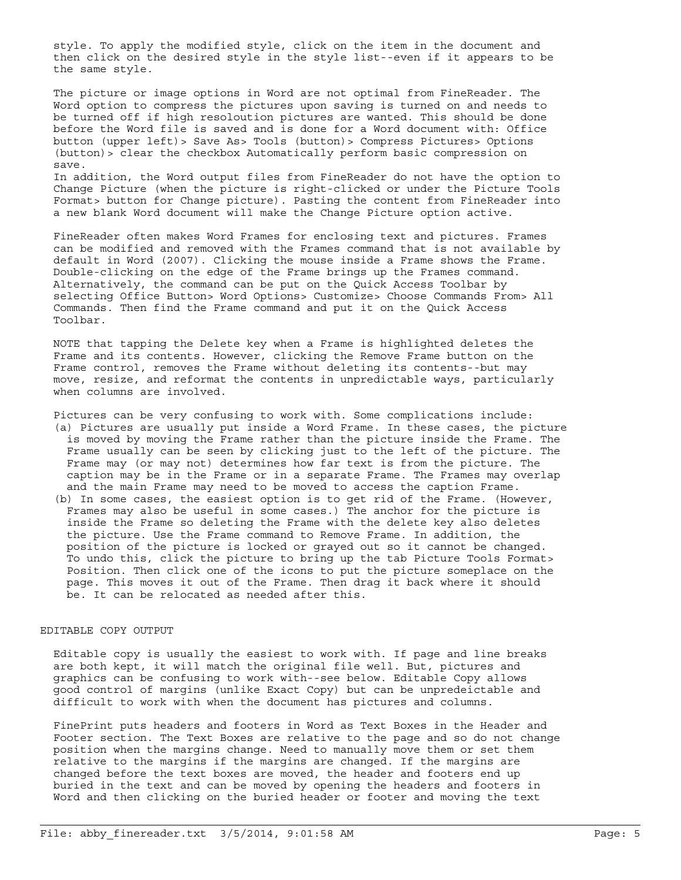style. To apply the modified style, click on the item in the document and then click on the desired style in the style list--even if it appears to be the same style.

 The picture or image options in Word are not optimal from FineReader. The Word option to compress the pictures upon saving is turned on and needs to be turned off if high resoloution pictures are wanted. This should be done before the Word file is saved and is done for a Word document with: Office button (upper left)> Save As> Tools (button)> Compress Pictures> Options (button)> clear the checkbox Automatically perform basic compression on save.

 In addition, the Word output files from FineReader do not have the option to Change Picture (when the picture is right-clicked or under the Picture Tools Format> button for Change picture). Pasting the content from FineReader into a new blank Word document will make the Change Picture option active.

 FineReader often makes Word Frames for enclosing text and pictures. Frames can be modified and removed with the Frames command that is not available by default in Word (2007). Clicking the mouse inside a Frame shows the Frame. Double-clicking on the edge of the Frame brings up the Frames command. Alternatively, the command can be put on the Quick Access Toolbar by selecting Office Button> Word Options> Customize> Choose Commands From> All Commands. Then find the Frame command and put it on the Quick Access Toolbar.

 NOTE that tapping the Delete key when a Frame is highlighted deletes the Frame and its contents. However, clicking the Remove Frame button on the Frame control, removes the Frame without deleting its contents--but may move, resize, and reformat the contents in unpredictable ways, particularly when columns are involved.

 Pictures can be very confusing to work with. Some complications include: (a) Pictures are usually put inside a Word Frame. In these cases, the picture is moved by moving the Frame rather than the picture inside the Frame. The Frame usually can be seen by clicking just to the left of the picture. The Frame may (or may not) determines how far text is from the picture. The caption may be in the Frame or in a separate Frame. The Frames may overlap and the main Frame may need to be moved to access the caption Frame.

 (b) In some cases, the easiest option is to get rid of the Frame. (However, Frames may also be useful in some cases.) The anchor for the picture is inside the Frame so deleting the Frame with the delete key also deletes the picture. Use the Frame command to Remove Frame. In addition, the position of the picture is locked or grayed out so it cannot be changed. To undo this, click the picture to bring up the tab Picture Tools Format> Position. Then click one of the icons to put the picture someplace on the page. This moves it out of the Frame. Then drag it back where it should be. It can be relocated as needed after this.

## EDITABLE COPY OUTPUT

 Editable copy is usually the easiest to work with. If page and line breaks are both kept, it will match the original file well. But, pictures and graphics can be confusing to work with--see below. Editable Copy allows good control of margins (unlike Exact Copy) but can be unpredeictable and difficult to work with when the document has pictures and columns.

 FinePrint puts headers and footers in Word as Text Boxes in the Header and Footer section. The Text Boxes are relative to the page and so do not change position when the margins change. Need to manually move them or set them relative to the margins if the margins are changed. If the margins are changed before the text boxes are moved, the header and footers end up buried in the text and can be moved by opening the headers and footers in Word and then clicking on the buried header or footer and moving the text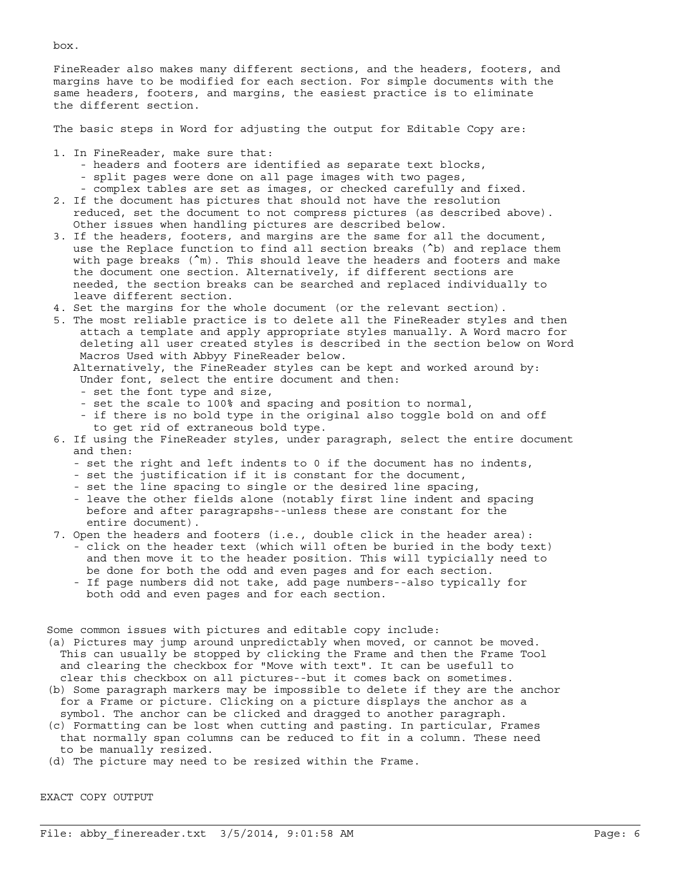FineReader also makes many different sections, and the headers, footers, and margins have to be modified for each section. For simple documents with the same headers, footers, and margins, the easiest practice is to eliminate the different section.

The basic steps in Word for adjusting the output for Editable Copy are:

- 1. In FineReader, make sure that:
	- headers and footers are identified as separate text blocks,
	- split pages were done on all page images with two pages,
	- complex tables are set as images, or checked carefully and fixed.
- 2. If the document has pictures that should not have the resolution reduced, set the document to not compress pictures (as described above). Other issues when handling pictures are described below.
- 3. If the headers, footers, and margins are the same for all the document, use the Replace function to find all section breaks (^b) and replace them with page breaks (^m). This should leave the headers and footers and make the document one section. Alternatively, if different sections are needed, the section breaks can be searched and replaced individually to leave different section.
- 4. Set the margins for the whole document (or the relevant section).
- 5. The most reliable practice is to delete all the FineReader styles and then attach a template and apply appropriate styles manually. A Word macro for deleting all user created styles is described in the section below on Word Macros Used with Abbyy FineReader below.

 Alternatively, the FineReader styles can be kept and worked around by: Under font, select the entire document and then:

- set the font type and size,
- set the scale to 100% and spacing and position to normal,
- if there is no bold type in the original also toggle bold on and off to get rid of extraneous bold type.
- 6. If using the FineReader styles, under paragraph, select the entire document and then:
	- set the right and left indents to 0 if the document has no indents,
	- set the justification if it is constant for the document,
	- set the line spacing to single or the desired line spacing,
	- leave the other fields alone (notably first line indent and spacing before and after paragrapshs--unless these are constant for the entire document).

# 7. Open the headers and footers (i.e., double click in the header area):

- click on the header text (which will often be buried in the body text) and then move it to the header position. This will typicially need to be done for both the odd and even pages and for each section.
- If page numbers did not take, add page numbers--also typically for both odd and even pages and for each section.

Some common issues with pictures and editable copy include:

- (a) Pictures may jump around unpredictably when moved, or cannot be moved. This can usually be stopped by clicking the Frame and then the Frame Tool and clearing the checkbox for "Move with text". It can be usefull to clear this checkbox on all pictures--but it comes back on sometimes.
- (b) Some paragraph markers may be impossible to delete if they are the anchor for a Frame or picture. Clicking on a picture displays the anchor as a
- symbol. The anchor can be clicked and dragged to another paragraph. (c) Formatting can be lost when cutting and pasting. In particular, Frames
- that normally span columns can be reduced to fit in a column. These need to be manually resized.
- (d) The picture may need to be resized within the Frame.

EXACT COPY OUTPUT

box.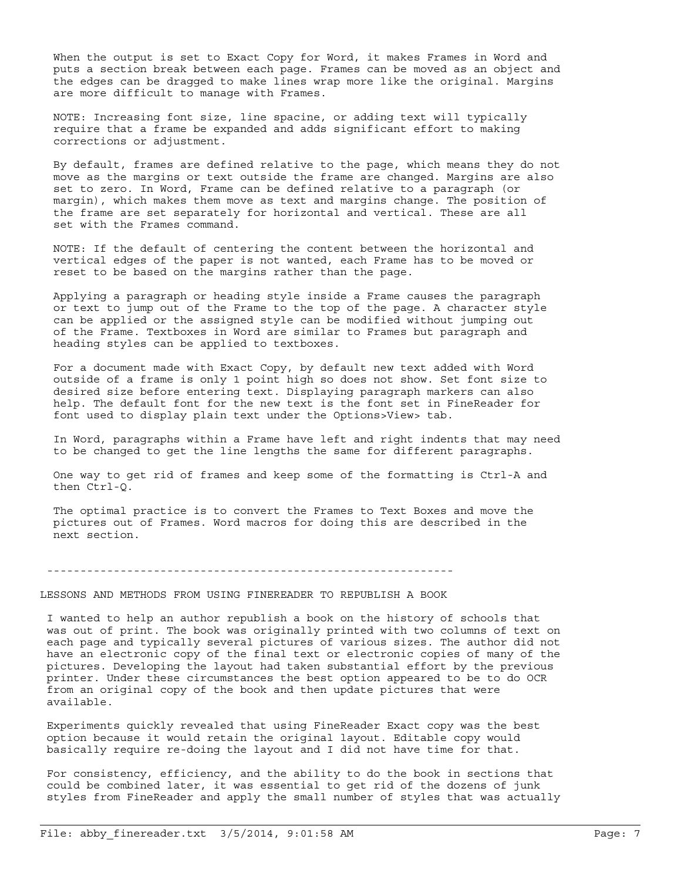When the output is set to Exact Copy for Word, it makes Frames in Word and puts a section break between each page. Frames can be moved as an object and the edges can be dragged to make lines wrap more like the original. Margins are more difficult to manage with Frames.

 NOTE: Increasing font size, line spacine, or adding text will typically require that a frame be expanded and adds significant effort to making corrections or adjustment.

 By default, frames are defined relative to the page, which means they do not move as the margins or text outside the frame are changed. Margins are also set to zero. In Word, Frame can be defined relative to a paragraph (or margin), which makes them move as text and margins change. The position of the frame are set separately for horizontal and vertical. These are all set with the Frames command.

 NOTE: If the default of centering the content between the horizontal and vertical edges of the paper is not wanted, each Frame has to be moved or reset to be based on the margins rather than the page.

 Applying a paragraph or heading style inside a Frame causes the paragraph or text to jump out of the Frame to the top of the page. A character style can be applied or the assigned style can be modified without jumping out of the Frame. Textboxes in Word are similar to Frames but paragraph and heading styles can be applied to textboxes.

 For a document made with Exact Copy, by default new text added with Word outside of a frame is only 1 point high so does not show. Set font size to desired size before entering text. Displaying paragraph markers can also help. The default font for the new text is the font set in FineReader for font used to display plain text under the Options>View> tab.

 In Word, paragraphs within a Frame have left and right indents that may need to be changed to get the line lengths the same for different paragraphs.

 One way to get rid of frames and keep some of the formatting is Ctrl-A and then Ctrl-Q.

 The optimal practice is to convert the Frames to Text Boxes and move the pictures out of Frames. Word macros for doing this are described in the next section.

-------------------------------------------------------------

LESSONS AND METHODS FROM USING FINEREADER TO REPUBLISH A BOOK

 I wanted to help an author republish a book on the history of schools that was out of print. The book was originally printed with two columns of text on each page and typically several pictures of various sizes. The author did not have an electronic copy of the final text or electronic copies of many of the pictures. Developing the layout had taken substantial effort by the previous printer. Under these circumstances the best option appeared to be to do OCR from an original copy of the book and then update pictures that were available.

 Experiments quickly revealed that using FineReader Exact copy was the best option because it would retain the original layout. Editable copy would basically require re-doing the layout and I did not have time for that.

 For consistency, efficiency, and the ability to do the book in sections that could be combined later, it was essential to get rid of the dozens of junk styles from FineReader and apply the small number of styles that was actually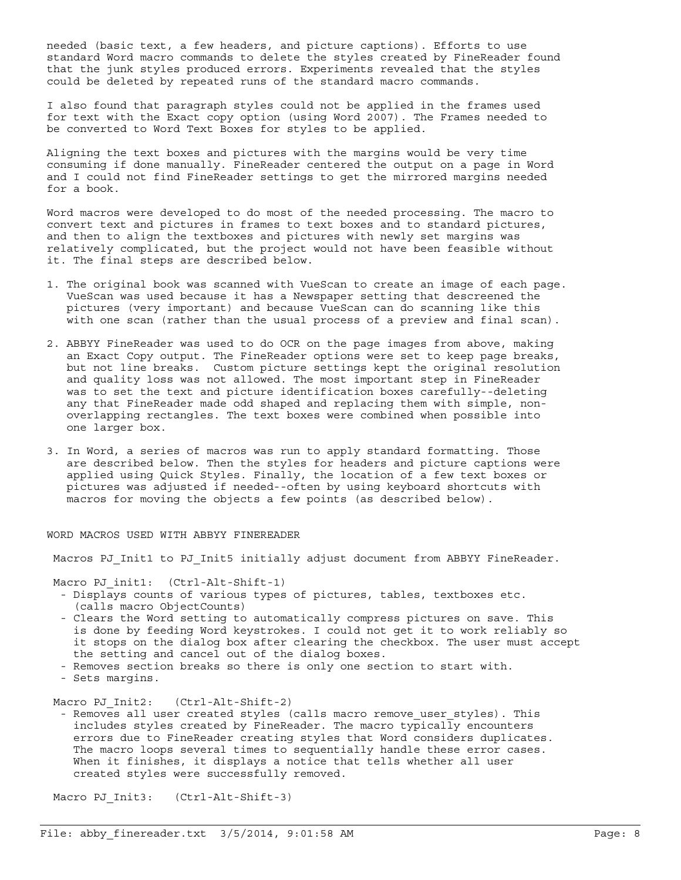needed (basic text, a few headers, and picture captions). Efforts to use standard Word macro commands to delete the styles created by FineReader found that the junk styles produced errors. Experiments revealed that the styles could be deleted by repeated runs of the standard macro commands.

 I also found that paragraph styles could not be applied in the frames used for text with the Exact copy option (using Word 2007). The Frames needed to be converted to Word Text Boxes for styles to be applied.

 Aligning the text boxes and pictures with the margins would be very time consuming if done manually. FineReader centered the output on a page in Word and I could not find FineReader settings to get the mirrored margins needed for a book.

 Word macros were developed to do most of the needed processing. The macro to convert text and pictures in frames to text boxes and to standard pictures, and then to align the textboxes and pictures with newly set margins was relatively complicated, but the project would not have been feasible without it. The final steps are described below.

- 1. The original book was scanned with VueScan to create an image of each page. VueScan was used because it has a Newspaper setting that descreened the pictures (very important) and because VueScan can do scanning like this with one scan (rather than the usual process of a preview and final scan).
- 2. ABBYY FineReader was used to do OCR on the page images from above, making an Exact Copy output. The FineReader options were set to keep page breaks, but not line breaks. Custom picture settings kept the original resolution and quality loss was not allowed. The most important step in FineReader was to set the text and picture identification boxes carefully--deleting any that FineReader made odd shaped and replacing them with simple, non overlapping rectangles. The text boxes were combined when possible into one larger box.
- 3. In Word, a series of macros was run to apply standard formatting. Those are described below. Then the styles for headers and picture captions were applied using Quick Styles. Finally, the location of a few text boxes or pictures was adjusted if needed--often by using keyboard shortcuts with macros for moving the objects a few points (as described below).

WORD MACROS USED WITH ABBYY FINEREADER

Macros PJ Init1 to PJ Init5 initially adjust document from ABBYY FineReader.

Macro PJ init1: (Ctrl-Alt-Shift-1)

- Displays counts of various types of pictures, tables, textboxes etc. (calls macro ObjectCounts)
- Clears the Word setting to automatically compress pictures on save. This is done by feeding Word keystrokes. I could not get it to work reliably so it stops on the dialog box after clearing the checkbox. The user must accept the setting and cancel out of the dialog boxes.
- Removes section breaks so there is only one section to start with.
- Sets margins.

Macro PJ Init2: (Ctrl-Alt-Shift-2)

- Removes all user created styles (calls macro remove user styles). This includes styles created by FineReader. The macro typically encounters errors due to FineReader creating styles that Word considers duplicates. The macro loops several times to sequentially handle these error cases. When it finishes, it displays a notice that tells whether all user created styles were successfully removed.

Macro PJ Init3: (Ctrl-Alt-Shift-3)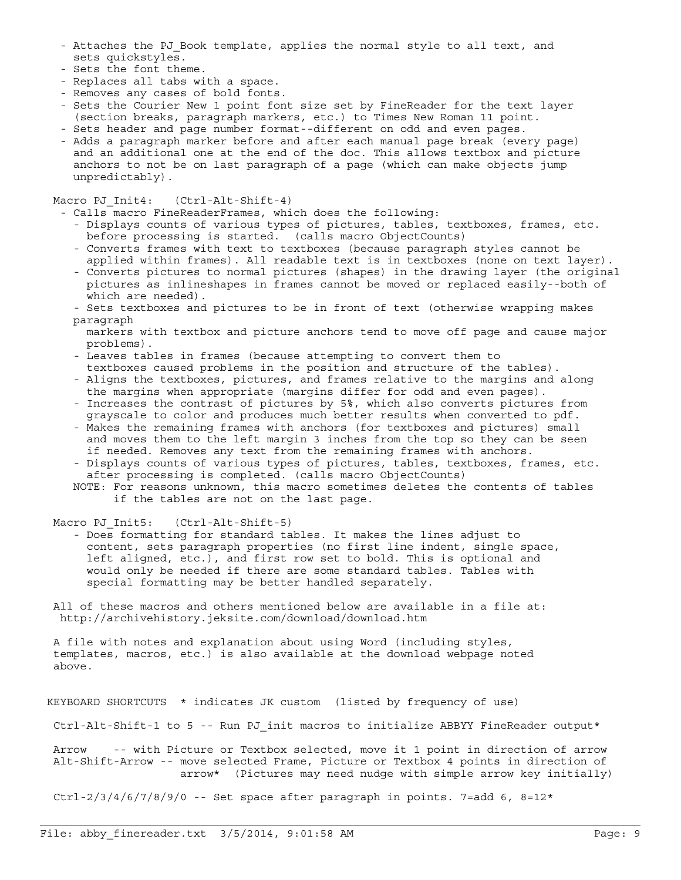- Attaches the PJ Book template, applies the normal style to all text, and sets quickstyles.
- Sets the font theme.
- Replaces all tabs with a space.
- Removes any cases of bold fonts.
- Sets the Courier New 1 point font size set by FineReader for the text layer (section breaks, paragraph markers, etc.) to Times New Roman 11 point.
- Sets header and page number format--different on odd and even pages.
- Adds a paragraph marker before and after each manual page break (every page) and an additional one at the end of the doc. This allows textbox and picture anchors to not be on last paragraph of a page (which can make objects jump unpredictably).

Macro PJ Init4: (Ctrl-Alt-Shift-4)

- Calls macro FineReaderFrames, which does the following:
	- Displays counts of various types of pictures, tables, textboxes, frames, etc. before processing is started. (calls macro ObjectCounts)
	- Converts frames with text to textboxes (because paragraph styles cannot be applied within frames). All readable text is in textboxes (none on text layer).
	- Converts pictures to normal pictures (shapes) in the drawing layer (the original pictures as inlineshapes in frames cannot be moved or replaced easily--both of which are needed).
	- Sets textboxes and pictures to be in front of text (otherwise wrapping makes paragraph
	- markers with textbox and picture anchors tend to move off page and cause major problems).
	- Leaves tables in frames (because attempting to convert them to
	- textboxes caused problems in the position and structure of the tables).
	- Aligns the textboxes, pictures, and frames relative to the margins and along the margins when appropriate (margins differ for odd and even pages).
	- Increases the contrast of pictures by 5%, which also converts pictures from grayscale to color and produces much better results when converted to pdf.
	- Makes the remaining frames with anchors (for textboxes and pictures) small and moves them to the left margin 3 inches from the top so they can be seen if needed. Removes any text from the remaining frames with anchors.
	- Displays counts of various types of pictures, tables, textboxes, frames, etc. after processing is completed. (calls macro ObjectCounts)
	- NOTE: For reasons unknown, this macro sometimes deletes the contents of tables if the tables are not on the last page.

Macro PJ Init5: (Ctrl-Alt-Shift-5)

 - Does formatting for standard tables. It makes the lines adjust to content, sets paragraph properties (no first line indent, single space, left aligned, etc.), and first row set to bold. This is optional and would only be needed if there are some standard tables. Tables with special formatting may be better handled separately.

 All of these macros and others mentioned below are available in a file at: http://archivehistory.jeksite.com/download/download.htm

 A file with notes and explanation about using Word (including styles, templates, macros, etc.) is also available at the download webpage noted above.

KEYBOARD SHORTCUTS \* indicates JK custom (listed by frequency of use)

Ctrl-Alt-Shift-1 to 5 -- Run PJ init macros to initialize ABBYY FineReader output\*

 Arrow -- with Picture or Textbox selected, move it 1 point in direction of arrow Alt-Shift-Arrow -- move selected Frame, Picture or Textbox 4 points in direction of arrow\* (Pictures may need nudge with simple arrow key initially)

Ctrl-2/3/4/6/7/8/9/0 -- Set space after paragraph in points. 7=add 6, 8=12\*